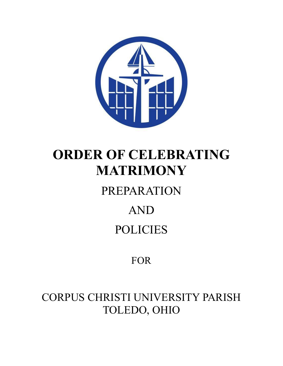

# **ORDER OF CELEBRATING MATRIMONY**

## PREPARATION

## AND POLICIES

### FOR

CORPUS CHRISTI UNIVERSITY PARISH TOLEDO, OHIO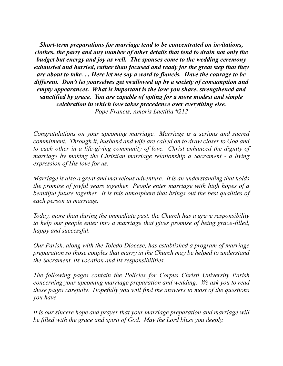*Short-term preparations for marriage tend to be concentrated on invitations, clothes, the party and any number of other details that tend to drain not only the budget but energy and joy as well. The spouses come to the wedding ceremony exhausted and harried, rather than focused and ready for the great step that they are about to take. . . Here let me say a word to fiancés. Have the courage to be different. Don't let yourselves get swallowed up by a society of consumption and empty appearances. What is important is the love you share, strengthened and sanctified by grace. You are capable of opting for a more modest and simple celebration in which love takes precedence over everything else. Pope Francis, Amoris Laetitia #212*

*Congratulations on your upcoming marriage. Marriage is a serious and sacred commitment. Through it, husband and wife are called on to draw closer to God and to each other in a life-giving community of love. Christ enhanced the dignity of marriage by making the Christian marriage relationship a Sacrament - a living expression of His love for us.*

*Marriage is also a great and marvelous adventure. It is an understanding that holds the promise of joyful years together. People enter marriage with high hopes of a beautiful future together. It is this atmosphere that brings out the best qualities of each person in marriage.*

*Today, more than during the immediate past, the Church has a grave responsibility to help our people enter into a marriage that gives promise of being grace-filled, happy and successful.*

*Our Parish, along with the Toledo Diocese, has established a program of marriage preparation so those couples that marry in the Church may be helped to understand the Sacrament, its vocation and its responsibilities.*

*The following pages contain the Policies for Corpus Christi University Parish concerning your upcoming marriage preparation and wedding. We ask you to read these pages carefully. Hopefully you will find the answers to most of the questions you have.*

*It is our sincere hope and prayer that your marriage preparation and marriage will be filled with the grace and spirit of God. May the Lord bless you deeply.*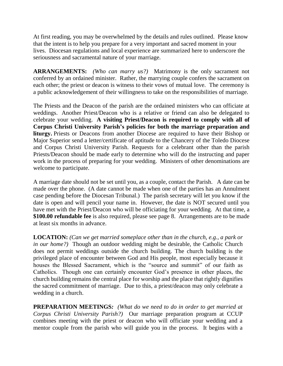At first reading, you may be overwhelmed by the details and rules outlined. Please know that the intent is to help you prepare for a very important and sacred moment in your lives. Diocesan regulations and local experience are summarized here to underscore the seriousness and sacramental nature of your marriage.

**ARRANGEMENTS:** *(Who can marry us?)* Matrimony is the only sacrament not conferred by an ordained minister. Rather, the marrying couple confers the sacrament on each other; the priest or deacon is witness to their vows of mutual love. The ceremony is a public acknowledgement of their willingness to take on the responsibilities of marriage.

The Priests and the Deacon of the parish are the ordained ministers who can officiate at weddings. Another Priest/Deacon who is a relative or friend can also be delegated to celebrate your wedding. **A visiting Priest/Deacon is required to comply with all of Corpus Christi University Parish's policies for both the marriage preparation and liturgy.** Priests or Deacons from another Diocese are required to have their Bishop or Major Superior send a letter/certificate of aptitude to the Chancery of the Toledo Diocese and Corpus Christi University Parish. Requests for a celebrant other than the parish Priests/Deacon should be made early to determine who will do the instructing and paper work in the process of preparing for your wedding. Ministers of other denominations are welcome to participate.

A marriage date should not be set until you, as a couple, contact the Parish. A date can be made over the phone. (A date cannot be made when one of the parties has an Annulment case pending before the Diocesan Tribunal.) The parish secretary will let you know if the date is open and will pencil your name in. However, the date is NOT secured until you have met with the Priest/Deacon who will be officiating for your wedding. At that time, a **\$100.00 refundable fee** is also required, please see page 8. Arrangements are to be made at least six months in advance.

**LOCATION:** *(Can we get married someplace other than in the church, e.g., a park or in our home?)* Though an outdoor wedding might be desirable, the Catholic Church does not permit weddings outside the church building. The church building is the privileged place of encounter between God and His people, most especially because it houses the Blessed Sacrament, which is the "source and summit" of our faith as Catholics. Though one can certainly encounter God's presence in other places, the church building remains the central place for worship and the place that rightly dignifies the sacred commitment of marriage. Due to this, a priest/deacon may only celebrate a wedding in a church.

**PREPARATION MEETINGS***: (What do we need to do in order to get married at Corpus Christi University Parish?)* Our marriage preparation program at CCUP combines meeting with the priest or deacon who will officiate your wedding and a mentor couple from the parish who will guide you in the process. It begins with a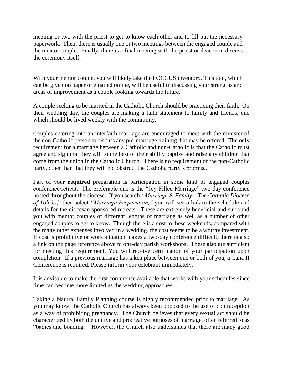meeting or two with the priest to get to know each other and to fill out the necessary paperwork. Then, there is usually one or two meetings between the engaged couple and the mentor couple. Finally, there is a final meeting with the priest or deacon to discuss the ceremony itself.

With your mentor couple, you will likely take the FOCCUS inventory. This tool, which can be given on paper or emailed online, will be useful in discussing your strengths and areas of improvement as a couple looking towards the future.

A couple seeking to be married in the Catholic Church should be practicing their faith. On their wedding day, the couples are making a faith statement to family and friends, one which should be lived weekly with the community.

Couples entering into an interfaith marriage are encouraged to meet with the minister of the non-Catholic person to discuss any pre-marriage training that may be offered. The only requirement for a marriage between a Catholic and non-Catholic is that the Catholic must agree and sign that they will to the best of their ability baptize and raise any children that come from the union in the Catholic Church. There is no requirement of the non-Catholic party, other than that they will not obstruct the Catholic party's promise.

Part of your **required** preparation is participation in some kind of engaged couples conference/retreat. The preferable one is the "Joy-Filled Marriage" two-day conference hosted throughout the diocese. If you search *"Marriage & Family – The Catholic Diocese of Toledo,*" then select *"Marriage Preparation,"* you will see a link to the schedule and details for the diocesan sponsored retreats. These are extremely beneficial and surround you with mentor couples of different lengths of marriage as well as a number of other engaged couples to get to know. Though there is a cost to these weekends, compared with the many other expenses involved in a wedding, the cost seems to be a worthy investment. If cost is prohibitive or work situation makes a two-day conference difficult, there is also a link on the page reference above to one-day parish workshops. These also are sufficient for meeting this requirement. You will receive certification of your participation upon completion. If a previous marriage has taken place between one or both of you, a Cana II Conference is required. Please inform your celebrant immediately.

It is advisable to make the first conference available that works with your schedules since time can become more limited as the wedding approaches.

Taking a Natural Family Planning course is highly recommended prior to marriage. As you may know, the Catholic Church has always been opposed to the use of contraception as a way of prohibiting pregnancy. The Church believes that every sexual act should be characterized by both the unitive and procreative purposes of marriage, often referred to as "babies and bonding." However, the Church also understands that there are many good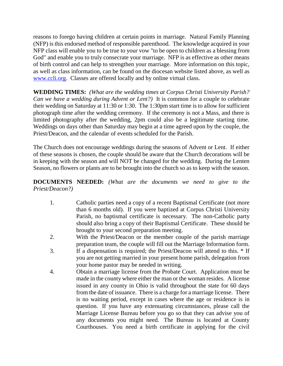reasons to forego having children at certain points in marriage. Natural Family Planning (NFP) is this endorsed method of responsible parenthood. The knowledge acquired in your NFP class will enable you to be true to your vow "to be open to children as a blessing from God" and enable you to truly consecrate your marriage. NFP is as effective as other means of birth control and can help to strengthen your marriage. More information on this topic, as well as class information, can be found on the diocesan website listed above, as well as [www.ccli.org.](http://www.ccli.org/) Classes are offered locally and by online virtual class.

**WEDDING TIMES:** *(What are the wedding times at Corpus Christi University Parish? Can we have a wedding during Advent or Lent?*) It is common for a couple to celebrate their wedding on Saturday at 11:30 or 1:30. The 1:30pm start time is to allow for sufficient photograph time after the wedding ceremony. If the ceremony is not a Mass, and there is limited photography after the wedding, 2pm could also be a legitimate starting time. Weddings on days other than Saturday may begin at a time agreed upon by the couple, the Priest/Deacon, and the calendar of events scheduled for the Parish.

The Church does not encourage weddings during the seasons of Advent or Lent. If either of these seasons is chosen, the couple should be aware that the Church decorations will be in keeping with the season and will NOT be changed for the wedding. During the Lenten Season, no flowers or plants are to be brought into the church so as to keep with the season.

#### **DOCUMENTS NEEDED:** *(What are the documents we need to give to the Priest/Deacon?)*

- 1. Catholic parties need a copy of a recent Baptismal Certificate (not more than 6 months old). If you were baptized at Corpus Christi University Parish, no baptismal certificate is necessary. The non-Catholic party should also bring a copy of their Baptismal Certificate. These should be brought to your second preparation meeting.
- 2. With the Priest/Deacon or the member couple of the parish marriage preparation team, the couple will fill out the Marriage Information form.
- 3. If a dispensation is required; the Priest/Deacon will attend to this. \* If you are not getting married in your present home parish, delegation from your home pastor may be needed in writing.
- 4. Obtain a marriage license from the Probate Court. Application must be made in the county where either the man or the woman resides. A license issued in any county in Ohio is valid throughout the state for 60 days from the date of issuance. There is a charge for a marriage license. There is no waiting period, except in cases where the age or residence is in question. If you have any extenuating circumstances, please call the Marriage License Bureau before you go so that they can advise you of any documents you might need. The Bureau is located at County Courthouses. You need a birth certificate in applying for the civil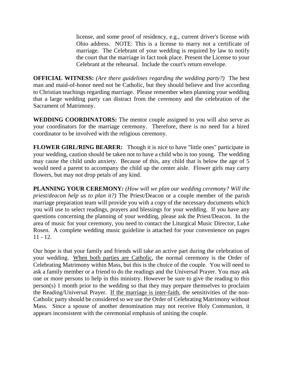license, and some proof of residency, e.g., current driver's license with Ohio address. NOTE: This is a license to marry not a certificate of marriage. The Celebrant of your wedding is required by law to notify the court that the marriage in fact took place. Present the License to your Celebrant at the rehearsal. Include the court's return envelope.

**OFFICIAL WITNESS:** *(Are there guidelines regarding the wedding party?)* The best man and maid-of-honor need not be Catholic, but they should believe and live according to Christian teachings regarding marriage. Please remember when planning your wedding that a large wedding party can distract from the ceremony and the celebration of the Sacrament of Matrimony.

**WEDDING COORDINATORS:** The mentor couple assigned to you will also serve as your coordinators for the marriage ceremony. Therefore, there is no need for a hired coordinator to be involved with the religious ceremony.

**FLOWER GIRL/RING BEARER:** Though it is nice to have "little ones" participate in your wedding, caution should be taken not to have a child who is too young. The wedding may cause the child undo anxiety. Because of this, any child that is below the age of 5 would need a parent to accompany the child up the center aisle. Flower girls may carry flowers, but may not drop petals of any kind.

**PLANNING YOUR CEREMONY***: (How will we plan our wedding ceremony? Will the priest/deacon help us to plan it?)* The Priest/Deacon or a couple member of the parish marriage preparation team will provide you with a copy of the necessary documents which you will use to select readings, prayers and blessings for your wedding. If you have any questions concerning the planning of your wedding, please ask the Priest/Deacon. In the area of music for your ceremony, you need to contact the Liturgical Music Director, Luke Rosen. A complete wedding music guideline is attached for your convenience on pages  $11 - 12$ .

Our hope is that your family and friends will take an active part during the celebration of your wedding. When both parties are Catholic, the normal ceremony is the Order of Celebrating Matrimony within Mass, but this is the choice of the couple. You will need to ask a family member or a friend to do the readings and the Universal Prayer. You may ask one or more persons to help in this ministry. However be sure to give the reading to this person(s) 1 month prior to the wedding so that they may prepare themselves to proclaim the Reading/Universal Prayer. If the marriage is inter-faith, the sensitivities of the non-Catholic party should be considered so we use the Order of Celebrating Matrimony without Mass. Since a spouse of another denomination may not receive Holy Communion, it appears inconsistent with the ceremonial emphasis of uniting the couple.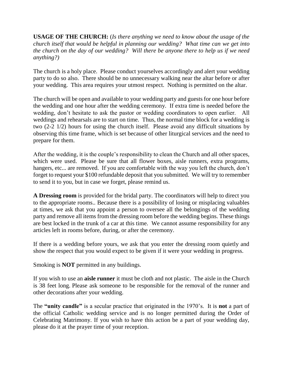**USAGE OF THE CHURCH:** (*Is there anything we need to know about the usage of the church itself that would be helpful in planning our wedding? What time can we get into the church on the day of our wedding? Will there be anyone there to help us if we need anything?)*

The church is a holy place. Please conduct yourselves accordingly and alert your wedding party to do so also. There should be no unnecessary walking near the altar before or after your wedding. This area requires your utmost respect. Nothing is permitted on the altar.

The church will be open and available to your wedding party and guests for one hour before the wedding and one hour after the wedding ceremony. If extra time is needed before the wedding, don't hesitate to ask the pastor or wedding coordinators to open earlier. All weddings and rehearsals are to start on time. Thus, the normal time block for a wedding is two (2-2 1/2) hours for using the church itself. Please avoid any difficult situations by observing this time frame, which is set because of other liturgical services and the need to prepare for them.

After the wedding, it is the couple's responsibility to clean the Church and all other spaces, which were used. Please be sure that all flower boxes, aisle runners, extra programs, hangers, etc... are removed. If you are comfortable with the way you left the church, don't forget to request your \$100 refundable deposit that you submitted. We will try to remember to send it to you, but in case we forget, please remind us.

**A Dressing room** is provided for the bridal party. The coordinators will help to direct you to the appropriate rooms.. Because there is a possibility of losing or misplacing valuables at times, we ask that you appoint a person to oversee all the belongings of the wedding party and remove all items from the dressing room before the wedding begins. These things are best locked in the trunk of a car at this time. We cannot assume responsibility for any articles left in rooms before, during, or after the ceremony.

If there is a wedding before yours, we ask that you enter the dressing room quietly and show the respect that you would expect to be given if it were your wedding in progress.

Smoking is **NOT** permitted in any buildings.

If you wish to use an **aisle runner** it must be cloth and not plastic. The aisle in the Church is 38 feet long. Please ask someone to be responsible for the removal of the runner and other decorations after your wedding.

The **"unity candle"** is a secular practice that originated in the 1970's. It is **not** a part of the official Catholic wedding service and is no longer permitted during the Order of Celebrating Matrimony. If you wish to have this action be a part of your wedding day, please do it at the prayer time of your reception.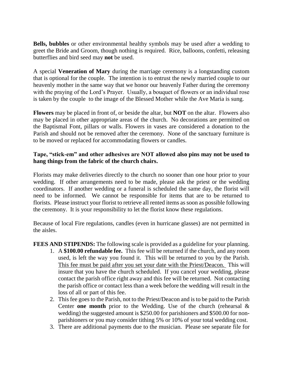**Bells, bubbles** or other environmental healthy symbols may be used after a wedding to greet the Bride and Groom, though nothing is required. Rice, balloons, confetti, releasing butterflies and bird seed may **not** be used.

A special **Veneration of Mary** during the marriage ceremony is a longstanding custom that is optional for the couple. The intention is to entrust the newly married couple to our heavenly mother in the same way that we honor our heavenly Father during the ceremony with the praying of the Lord's Prayer. Usually, a bouquet of flowers or an individual rose is taken by the couple to the image of the Blessed Mother while the Ave Maria is sung.

**Flowers** may be placed in front of, or beside the altar, but **NOT** on the altar. Flowers also may be placed in other appropriate areas of the church. No decorations are permitted on the Baptismal Font, pillars or walls. Flowers in vases are considered a donation to the Parish and should not be removed after the ceremony. None of the sanctuary furniture is to be moved or replaced for accommodating flowers or candles.

### **Tape, "stick-em" and other adhesives are NOT allowed also pins may not be used to hang things from the fabric of the church chairs.**

Florists may make deliveries directly to the church no sooner than one hour prior to your wedding. If other arrangements need to be made, please ask the priest or the wedding coordinators. If another wedding or a funeral is scheduled the same day, the florist will need to be informed. We cannot be responsible for items that are to be returned to florists. Please instruct your florist to retrieve all rented items as soon as possible following the ceremony. It is your responsibility to let the florist know these regulations.

Because of local Fire regulations, candles (even in hurricane glasses) are not permitted in the aisles.

**FEES AND STIPENDS:** The following scale is provided as a guideline for your planning.

- 1. A **\$100.00 refundable fee.** This fee will be returned if the church, and any room used, is left the way you found it. This will be returned to you by the Parish. This fee must be paid after you set your date with the Priest/Deacon. This will insure that you have the church scheduled. If you cancel your wedding, please contact the parish office right away and this fee will be returned. Not contacting the parish office or contact less than a week before the wedding will result in the loss of all or part of this fee.
- 2. This fee goes to the Parish, not to the Priest/Deacon and is to be paid to the Parish Center **one month** prior to the Wedding. Use of the church (rehearsal & wedding) the suggested amount is \$250.00 for parishioners and \$500.00 for nonparishioners or you may consider tithing 5% or 10% of your total wedding cost.
- 3. There are additional payments due to the musician. Please see separate file for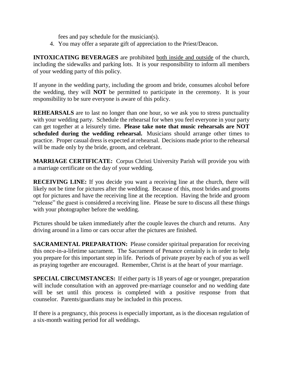fees and pay schedule for the musician(s).

4. You may offer a separate gift of appreciation to the Priest/Deacon.

**INTOXICATING BEVERAGES** are prohibited both inside and outside of the church, including the sidewalks and parking lots. It is your responsibility to inform all members of your wedding party of this policy.

If anyone in the wedding party, including the groom and bride, consumes alcohol before the wedding, they will **NOT** be permitted to participate in the ceremony. It is your responsibility to be sure everyone is aware of this policy.

**REHEARSALS** are to last no longer than one hour, so we ask you to stress punctuality with your wedding party. Schedule the rehearsal for when you feel everyone in your party can get together at a leisurely time**. Please take note that music rehearsals are NOT scheduled during the wedding rehearsal.** Musicians should arrange other times to practice. Proper casual dress is expected at rehearsal. Decisions made prior to the rehearsal will be made only by the bride, groom, and celebrant.

**MARRIAGE CERTIFICATE:** Corpus Christi University Parish will provide you with a marriage certificate on the day of your wedding.

**RECEIVING LINE:** If you decide you want a receiving line at the church, there will likely not be time for pictures after the wedding. Because of this, most brides and grooms opt for pictures and have the receiving line at the reception. Having the bride and groom "release" the guest is considered a receiving line. Please be sure to discuss all these things with your photographer before the wedding.

Pictures should be taken immediately after the couple leaves the church and returns. Any driving around in a limo or cars occur after the pictures are finished.

**SACRAMENTAL PREPARATION:** Please consider spiritual preparation for receiving this once-in-a-lifetime sacrament. The Sacrament of Penance certainly is in order to help you prepare for this important step in life. Periods of private prayer by each of you as well as praying together are encouraged. Remember, Christ is at the heart of your marriage.

**SPECIAL CIRCUMSTANCES:** If either party is 18 years of age or younger, preparation will include consultation with an approved pre-marriage counselor and no wedding date will be set until this process is completed with a positive response from that counselor. Parents/guardians may be included in this process.

If there is a pregnancy, this process is especially important, as is the diocesan regulation of a six-month waiting period for all weddings.